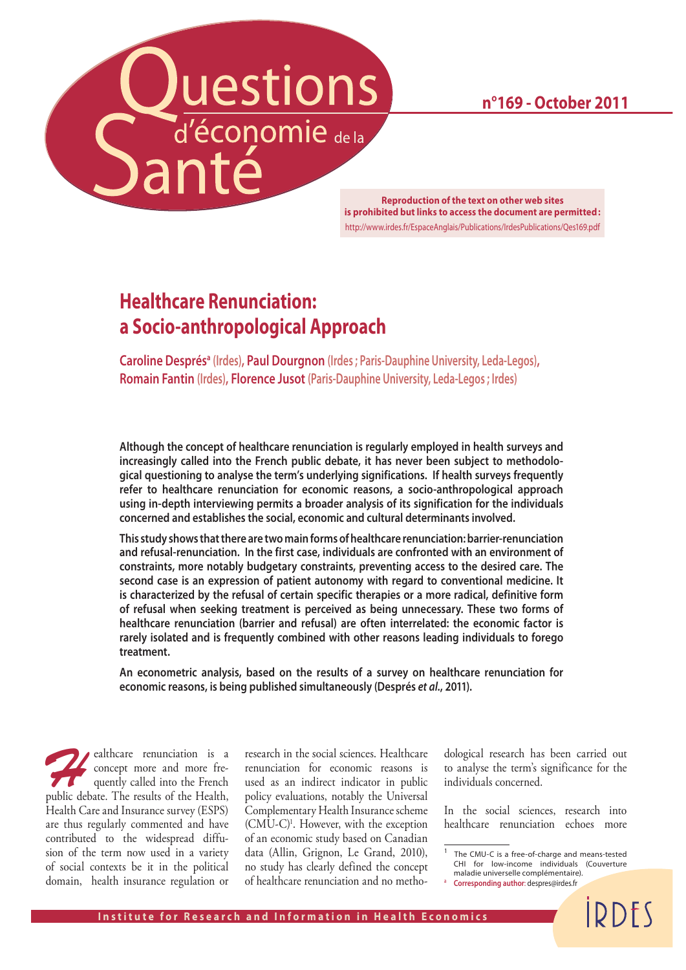**n°169 - October 2011**

Luestions

**Reproduction of the text on other web sites is prohibited but links to access the document are permitted :** http://www.irdes.fr/EspaceAnglais/Publications/IrdesPublications/Qes169.pdf

# **Healthcare Renunciation: a Socio-anthropological Approach**

**Caroline Després<sup>a</sup> (Irdes), Paul Dourgnon** (Irdes ; Paris-Dauphine University, Leda-Legos), **Romain Fantin (Irdes), Florence Jusot (Paris-Dauphine University, Leda-Legos ; Irdes)**

**Although the concept of healthcare renunciation is regularly employed in health surveys and increasingly called into the French public debate, it has never been subject to methodological questioning to analyse the term's underlying significations. If health surveys frequently refer to healthcare renunciation for economic reasons, a socio-anthropological approach using in-depth interviewing permits a broader analysis of its signification for the individuals concerned and establishes the social, economic and cultural determinants involved.** 

**This study shows that there are two main forms of healthcare renunciation: barrier-renunciation and refusal-renunciation. In the first case, individuals are confronted with an environment of constraints, more notably budgetary constraints, preventing access to the desired care. The second case is an expression of patient autonomy with regard to conventional medicine. It is characterized by the refusal of certain specific therapies or a more radical, definitive form of refusal when seeking treatment is perceived as being unnecessary. These two forms of healthcare renunciation (barrier and refusal) are often interrelated: the economic factor is rarely isolated and is frequently combined with other reasons leading individuals to forego treatment.** 

**An econometric analysis, based on the results of a survey on healthcare renunciation for economic reasons, is being published simultaneously (Després** *et al.***, 2011).**

ealthcare renunciation is a concept more and more frequently called into the French concept more and more frequently called into the French public debate. The results of the Health, Health Care and Insurance survey (ESPS) are thus regularly commented and have contributed to the widespread diffusion of the term now used in a variety of social contexts be it in the political domain, health insurance regulation or

research in the social sciences. Healthcare renunciation for economic reasons is used as an indirect indicator in public policy evaluations, notably the Universal Complementary Health Insurance scheme (CMU-C)1 . However, with the exception of an economic study based on Canadian data (Allin, Grignon, Le Grand, 2010), no study has clearly defined the concept of healthcare renunciation and no methodological research has been carried out to analyse the term's significance for the individuals concerned.

In the social sciences, research into healthcare renunciation echoes more

**IDDFS** 

<sup>1</sup> The CMU-C is a free-of-charge and means-tested CHI for low-income individuals (Couverture maladie universelle complémentaire).

<sup>a</sup> **Corresponding author**: despres@irdes.fr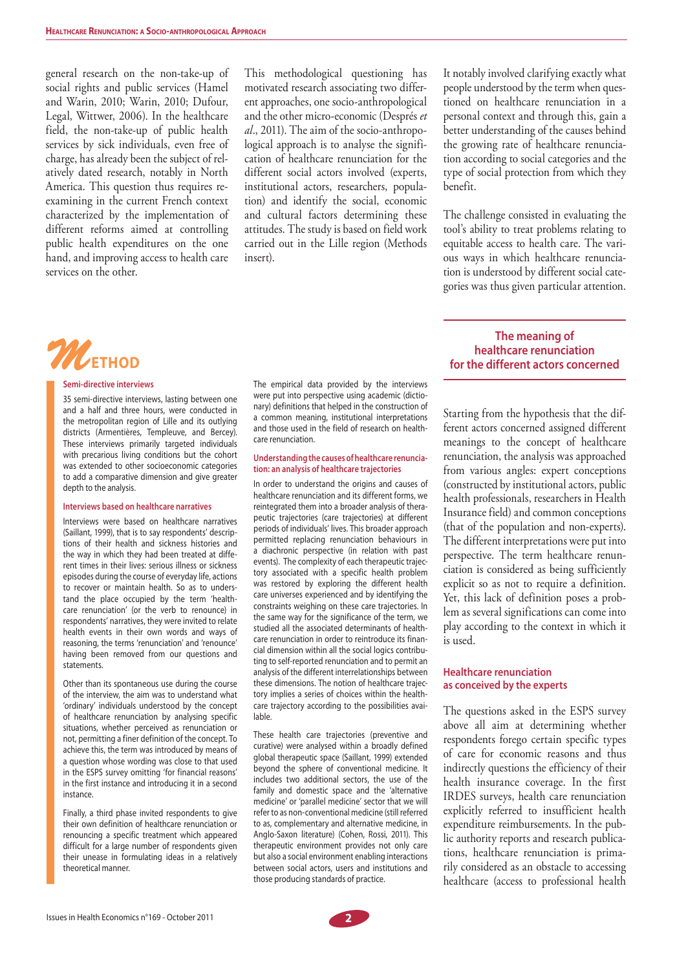general research on the non-take-up of social rights and public services (Hamel and Warin, 2010; Warin, 2010; Dufour, Legal, Wittwer, 2006). In the healthcare field, the non-take-up of public health services by sick individuals, even free of charge, has already been the subject of relatively dated research, notably in North America. This question thus requires reexamining in the current French context characterized by the implementation of different reforms aimed at controlling public health expenditures on the one hand, and improving access to health care services on the other.

This methodological questioning has motivated research associating two different approaches, one socio-anthropological and the other micro-economic (Després *et al*., 2011). The aim of the socio-anthropological approach is to analyse the signification of healthcare renunciation for the different social actors involved (experts, institutional actors, researchers, population) and identify the social, economic and cultural factors determining these attitudes. The study is based on field work carried out in the Lille region (Methods insert).

It notably involved clarifying exactly what people understood by the term when questioned on healthcare renunciation in a personal context and through this, gain a better understanding of the causes behind the growing rate of healthcare renunciation according to social categories and the type of social protection from which they benefit.

The challenge consisted in evaluating the tool's ability to treat problems relating to equitable access to health care. The various ways in which healthcare renunciation is understood by different social categories was thus given particular attention.



#### **Semi-directive interviews**

35 semi-directive interviews, lasting between one and a half and three hours, were conducted in the metropolitan region of Lille and its outlying districts (Armentières, Templeuve, and Bercey). These interviews primarily targeted individuals with precarious living conditions but the cohort was extended to other socioeconomic categories to add a comparative dimension and give greater depth to the analysis.

#### **Interviews based on healthcare narratives**

Interviews were based on healthcare narratives (Saillant, 1999), that is to say respondents' descriptions of their health and sickness histories and the way in which they had been treated at different times in their lives: serious illness or sickness episodes during the course of everyday life, actions to recover or maintain health. So as to understand the place occupied by the term 'healthcare renunciation' (or the verb to renounce) in respondents' narratives, they were invited to relate health events in their own words and ways of reasoning, the terms 'renunciation' and 'renounce' having been removed from our questions and statements.

Other than its spontaneous use during the course of the interview, the aim was to understand what 'ordinary' individuals understood by the concept of healthcare renunciation by analysing specific situations, whether perceived as renunciation or not, permitting a finer definition of the concept. To achieve this, the term was introduced by means of a question whose wording was close to that used in the ESPS survey omitting 'for financial reasons' in the first instance and introducing it in a second instance.

Finally, a third phase invited respondents to give their own definition of healthcare renunciation or renouncing a specific treatment which appeared difficult for a large number of respondents given their unease in formulating ideas in a relatively theoretical manner.

The empirical data provided by the interviews were put into perspective using academic (dictionary) definitions that helped in the construction of a common meaning, institutional interpretations and those used in the field of research on healthcare renunciation.

#### **Understanding the causes of healthcare renunciation: an analysis of healthcare trajectories**

In order to understand the origins and causes of healthcare renunciation and its different forms, we reintegrated them into a broader analysis of therapeutic trajectories (care trajectories) at different periods of individuals' lives. This broader approach permitted replacing renunciation behaviours in a diachronic perspective (in relation with past events). The complexity of each therapeutic trajectory associated with a specific health problem was restored by exploring the different health care universes experienced and by identifying the constraints weighing on these care trajectories. In the same way for the significance of the term, we studied all the associated determinants of healthcare renunciation in order to reintroduce its financial dimension within all the social logics contributing to self-reported renunciation and to permit an analysis of the different interrelationships between these dimensions. The notion of healthcare trajectory implies a series of choices within the healthcare trajectory according to the possibilities available.

These health care trajectories (preventive and curative) were analysed within a broadly defined global therapeutic space (Saillant, 1999) extended beyond the sphere of conventional medicine. It includes two additional sectors, the use of the family and domestic space and the 'alternative medicine' or 'parallel medicine' sector that we will refer to as non-conventional medicine (still referred to as, complementary and alternative medicine, in Anglo-Saxon literature) (Cohen, Rossi, 2011). This therapeutic environment provides not only care but also a social environment enabling interactions between social actors, users and institutions and those producing standards of practice.

# **The meaning of healthcare renunciation for the different actors concerned**

Starting from the hypothesis that the different actors concerned assigned different meanings to the concept of healthcare renunciation, the analysis was approached from various angles: expert conceptions (constructed by institutional actors, public health professionals, researchers in Health Insurance field) and common conceptions (that of the population and non-experts). The different interpretations were put into perspective. The term healthcare renunciation is considered as being sufficiently explicit so as not to require a definition. Yet, this lack of definition poses a problem as several significations can come into play according to the context in which it is used.

## **Healthcare renunciation as conceived by the experts**

The questions asked in the ESPS survey above all aim at determining whether respondents forego certain specific types of care for economic reasons and thus indirectly questions the efficiency of their health insurance coverage. In the first IRDES surveys, health care renunciation explicitly referred to insufficient health expenditure reimbursements. In the public authority reports and research publications, healthcare renunciation is primarily considered as an obstacle to accessing healthcare (access to professional health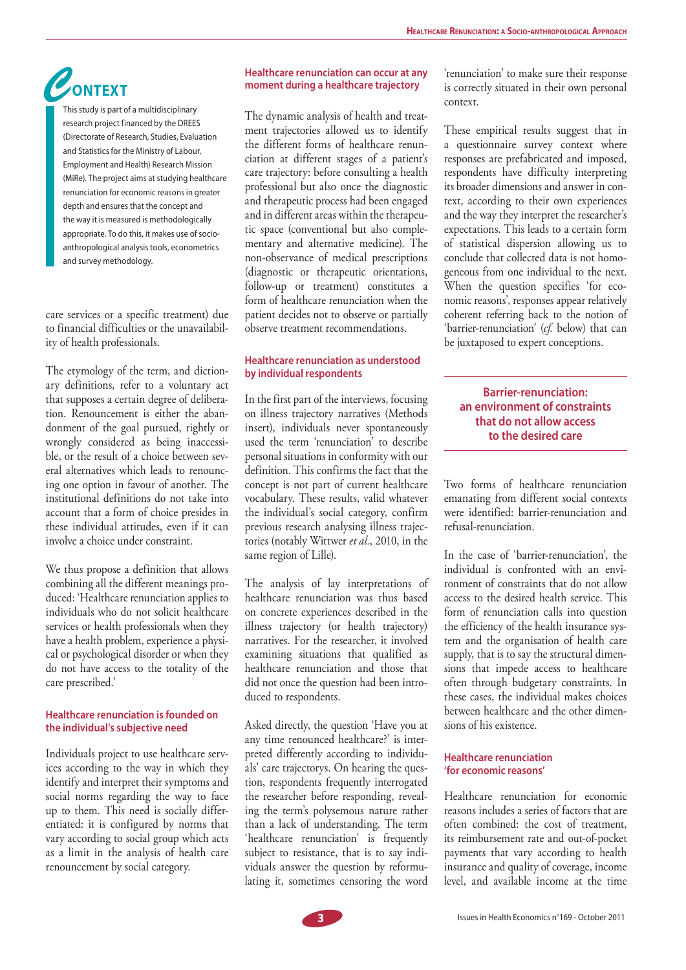# *C***ONTEXT**

This study is part of a multidisciplinary research project financed by the DREES (Directorate of Research, Studies, Evaluation and Statistics for the Ministry of Labour, Employment and Health) Research Mission (MiRe). The project aims at studying healthcare renunciation for economic reasons in greater depth and ensures that the concept and the way it is measured is methodologically appropriate. To do this, it makes use of socioanthropological analysis tools, econometrics and survey methodology.

care services or a specific treatment) due to financial difficulties or the unavailability of health professionals.

The etymology of the term, and dictionary definitions, refer to a voluntary act that supposes a certain degree of deliberation. Renouncement is either the abandonment of the goal pursued, rightly or wrongly considered as being inaccessible, or the result of a choice between several alternatives which leads to renouncing one option in favour of another. The institutional definitions do not take into account that a form of choice presides in these individual attitudes, even if it can involve a choice under constraint.

We thus propose a definition that allows combining all the different meanings produced: 'Healthcare renunciation applies to individuals who do not solicit healthcare services or health professionals when they have a health problem, experience a physical or psychological disorder or when they do not have access to the totality of the care prescribed.'

# **Healthcare renunciation is founded on the individual's subjective need**

Individuals project to use healthcare services according to the way in which they identify and interpret their symptoms and social norms regarding the way to face up to them. This need is socially differentiated: it is configured by norms that vary according to social group which acts as a limit in the analysis of health care renouncement by social category.

# **Healthcare renunciation can occur at any moment during a healthcare trajectory**

The dynamic analysis of health and treatment trajectories allowed us to identify the different forms of healthcare renunciation at different stages of a patient's care trajectory: before consulting a health professional but also once the diagnostic and therapeutic process had been engaged and in different areas within the therapeutic space (conventional but also complementary and alternative medicine). The non-observance of medical prescriptions (diagnostic or therapeutic orientations, follow-up or treatment) constitutes a form of healthcare renunciation when the patient decides not to observe or partially observe treatment recommendations.

# **Healthcare renunciation as understood by individual respondents**

In the first part of the interviews, focusing on illness trajectory narratives (Methods insert), individuals never spontaneously used the term 'renunciation' to describe personal situations in conformity with our definition. This confirms the fact that the concept is not part of current healthcare vocabulary. These results, valid whatever the individual's social category, confirm previous research analysing illness trajectories (notably Wittwer *et al.*, 2010, in the same region of Lille).

The analysis of lay interpretations of healthcare renunciation was thus based on concrete experiences described in the illness trajectory (or health trajectory) narratives. For the researcher, it involved examining situations that qualified as healthcare renunciation and those that did not once the question had been introduced to respondents.

Asked directly, the question 'Have you at any time renounced healthcare?' is interpreted differently according to individuals' care trajectorys. On hearing the question, respondents frequently interrogated the researcher before responding, revealing the term's polysemous nature rather than a lack of understanding. The term 'healthcare renunciation' is frequently subject to resistance, that is to say individuals answer the question by reformulating it, sometimes censoring the word

'renunciation' to make sure their response is correctly situated in their own personal context.

These empirical results suggest that in a questionnaire survey context where responses are prefabricated and imposed, respondents have difficulty interpreting its broader dimensions and answer in context, according to their own experiences and the way they interpret the researcher's expectations. This leads to a certain form of statistical dispersion allowing us to conclude that collected data is not homogeneous from one individual to the next. When the question specifies 'for economic reasons', responses appear relatively coherent referring back to the notion of 'barrier-renunciation' (*cf.* below) that can be juxtaposed to expert conceptions.

# **Barrier-renunciation: an environment of constraints that do not allow access to the desired care**

Two forms of healthcare renunciation emanating from different social contexts were identified: barrier-renunciation and refusal-renunciation.

In the case of 'barrier-renunciation', the individual is confronted with an environment of constraints that do not allow access to the desired health service. This form of renunciation calls into question the efficiency of the health insurance system and the organisation of health care supply, that is to say the structural dimensions that impede access to healthcare often through budgetary constraints. In these cases, the individual makes choices between healthcare and the other dimensions of his existence.

# **Healthcare renunciation 'for economic reasons'**

Healthcare renunciation for economic reasons includes a series of factors that are often combined: the cost of treatment, its reimbursement rate and out-of-pocket payments that vary according to health insurance and quality of coverage, income level, and available income at the time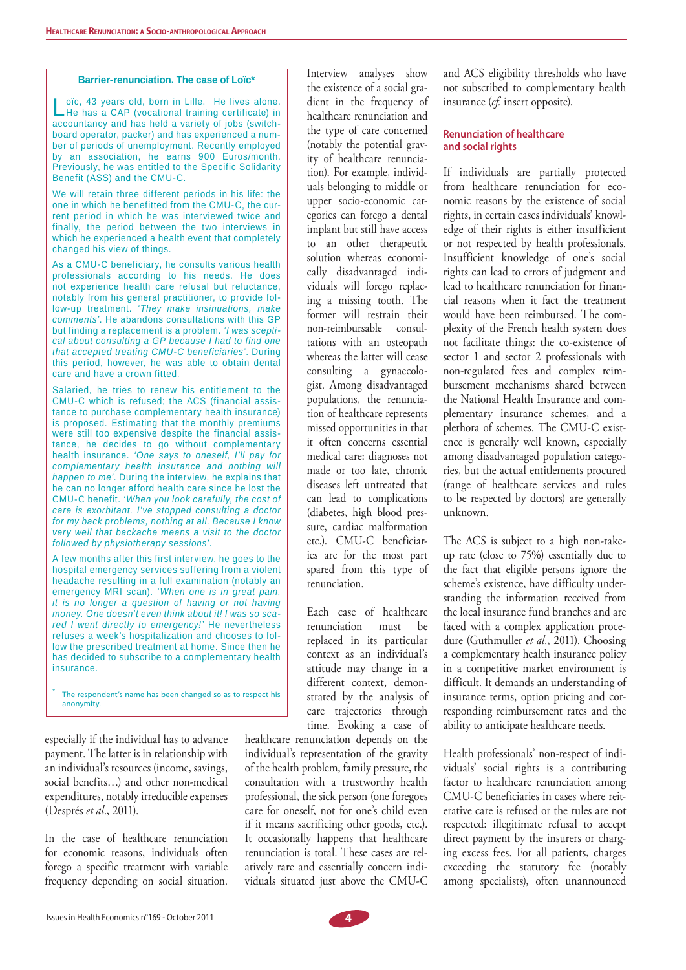#### **Barrier-renunciation. The case of Loïc\***

Loïc, 43 years old, born in Lille. He lives alone.<br>Let has a CAP (vocational training certificate) in accountancy and has held a variety of jobs (switchboard operator, packer) and has experienced a number of periods of unemployment. Recently employed by an association, he earns 900 Euros/month. Previously, he was entitled to the Specific Solidarity Benefit (ASS) and the CMU-C.

We will retain three different periods in his life: the one in which he benefitted from the CMU-C, the current period in which he was interviewed twice and finally, the period between the two interviews in which he experienced a health event that completely changed his view of things.

As a CMU-C beneficiary, he consults various health professionals according to his needs. He does not experience health care refusal but reluctance, notably from his general practitioner, to provide follow-up treatment. *'They make insinuations, make comments'*. He abandons consultations with this GP but finding a replacement is a problem. *'I was sceptical about consulting a GP because I had to find one that accepted treating CMU-C beneficiaries'*. During this period, however, he was able to obtain dental care and have a crown fitted.

Salaried, he tries to renew his entitlement to the CMU-C which is refused; the ACS (financial assistance to purchase complementary health insurance) is proposed. Estimating that the monthly premiums were still too expensive despite the financial assistance, he decides to go without complementary health insurance. *'One says to oneself, I'll pay for complementary health insurance and nothing will happen to me'*. During the interview, he explains that he can no longer afford health care since he lost the CMU-C benefit. *'When you look carefully, the cost of care is exorbitant. I've stopped consulting a doctor for my back problems, nothing at all. Because I know very well that backache means a visit to the doctor followed by physiotherapy sessions'*.

A few months after this first interview, he goes to the hospital emergency services suffering from a violent headache resulting in a full examination (notably an emergency MRI scan). *'When one is in great pain, it is no longer a question of having or not having money. One doesn't even think about it! I was so scared I went directly to emergency!'* He nevertheless refuses a week's hospitalization and chooses to follow the prescribed treatment at home. Since then he has decided to subscribe to a complementary health insurance.

\* The respondent's name has been changed so as to respect his anonymity.

especially if the individual has to advance payment. The latter is in relationship with an individual's resources (income, savings, social benefits…) and other non-medical expenditures, notably irreducible expenses (Després *et al*., 2011).

In the case of healthcare renunciation for economic reasons, individuals often forego a specific treatment with variable frequency depending on social situation.

Interview analyses show the existence of a social gradient in the frequency of healthcare renunciation and the type of care concerned (notably the potential gravity of healthcare renunciation). For example, individuals belonging to middle or upper socio-economic categories can forego a dental implant but still have access to an other therapeutic solution whereas economically disadvantaged individuals will forego replacing a missing tooth. The former will restrain their non-reimbursable consultations with an osteopath whereas the latter will cease consulting a gynaecologist. Among disadvantaged populations, the renunciation of healthcare represents missed opportunities in that it often concerns essential medical care: diagnoses not made or too late, chronic diseases left untreated that can lead to complications (diabetes, high blood pressure, cardiac malformation etc.). CMU-C beneficiaries are for the most part spared from this type of renunciation.

Each case of healthcare renunciation must be replaced in its particular context as an individual's attitude may change in a different context, demonstrated by the analysis of care trajectories through time. Evoking a case of

healthcare renunciation depends on the individual's representation of the gravity of the health problem, family pressure, the consultation with a trustworthy health professional, the sick person (one foregoes care for oneself, not for one's child even if it means sacrificing other goods, etc.). It occasionally happens that healthcare renunciation is total. These cases are relatively rare and essentially concern individuals situated just above the CMU-C and ACS eligibility thresholds who have not subscribed to complementary health insurance (*cf.* insert opposite).

# **Renunciation of healthcare and social rights**

If individuals are partially protected from healthcare renunciation for economic reasons by the existence of social rights, in certain cases individuals' knowledge of their rights is either insufficient or not respected by health professionals. Insufficient knowledge of one's social rights can lead to errors of judgment and lead to healthcare renunciation for financial reasons when it fact the treatment would have been reimbursed. The complexity of the French health system does not facilitate things: the co-existence of sector 1 and sector 2 professionals with non-regulated fees and complex reimbursement mechanisms shared between the National Health Insurance and complementary insurance schemes, and a plethora of schemes. The CMU-C existence is generally well known, especially among disadvantaged population categories, but the actual entitlements procured (range of healthcare services and rules to be respected by doctors) are generally unknown.

The ACS is subject to a high non-takeup rate (close to 75%) essentially due to the fact that eligible persons ignore the scheme's existence, have difficulty understanding the information received from the local insurance fund branches and are faced with a complex application procedure (Guthmuller *et al.*, 2011). Choosing a complementary health insurance policy in a competitive market environment is difficult. It demands an understanding of insurance terms, option pricing and corresponding reimbursement rates and the ability to anticipate healthcare needs.

Health professionals' non-respect of individuals' social rights is a contributing factor to healthcare renunciation among CMU-C beneficiaries in cases where reiterative care is refused or the rules are not respected: illegitimate refusal to accept direct payment by the insurers or charging excess fees. For all patients, charges exceeding the statutory fee (notably among specialists), often unannounced

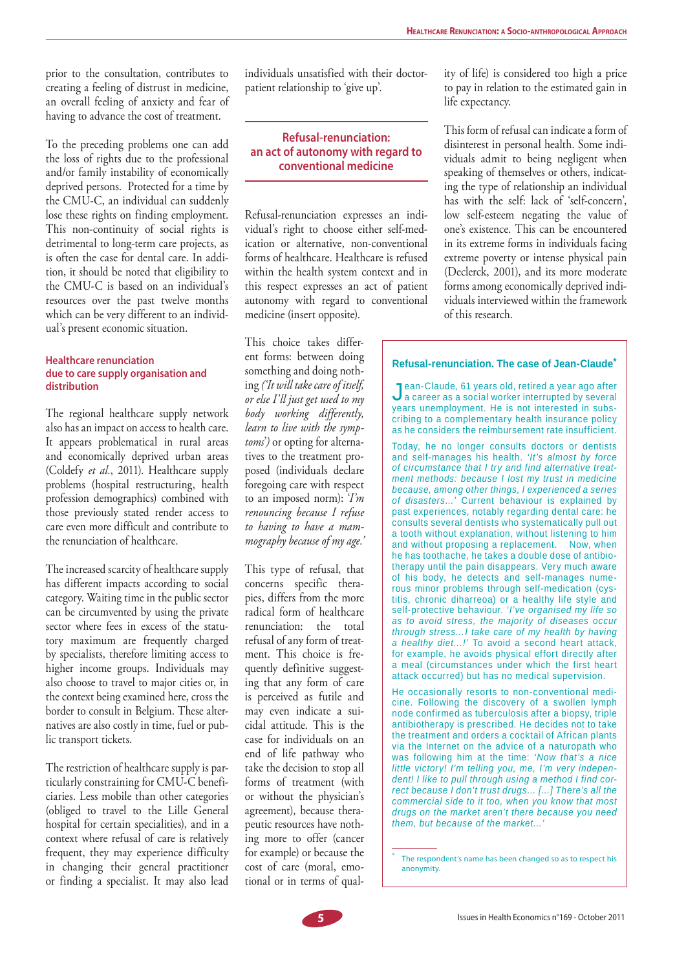prior to the consultation, contributes to creating a feeling of distrust in medicine, an overall feeling of anxiety and fear of having to advance the cost of treatment.

To the preceding problems one can add the loss of rights due to the professional and/or family instability of economically deprived persons. Protected for a time by the CMU-C, an individual can suddenly lose these rights on finding employment. This non-continuity of social rights is detrimental to long-term care projects, as is often the case for dental care. In addition, it should be noted that eligibility to the CMU-C is based on an individual's resources over the past twelve months which can be very different to an individual's present economic situation.

## **Healthcare renunciation due to care supply organisation and distribution**

The regional healthcare supply network also has an impact on access to health care. It appears problematical in rural areas and economically deprived urban areas (Coldefy *et al.*, 2011). Healthcare supply problems (hospital restructuring, health profession demographics) combined with those previously stated render access to care even more difficult and contribute to the renunciation of healthcare.

The increased scarcity of healthcare supply has different impacts according to social category. Waiting time in the public sector can be circumvented by using the private sector where fees in excess of the statutory maximum are frequently charged by specialists, therefore limiting access to higher income groups. Individuals may also choose to travel to major cities or, in the context being examined here, cross the border to consult in Belgium. These alternatives are also costly in time, fuel or public transport tickets.

The restriction of healthcare supply is particularly constraining for CMU-C beneficiaries. Less mobile than other categories (obliged to travel to the Lille General hospital for certain specialities), and in a context where refusal of care is relatively frequent, they may experience difficulty in changing their general practitioner or finding a specialist. It may also lead

individuals unsatisfied with their doctorpatient relationship to 'give up'.

# **Refusal-renunciation: an act of autonomy with regard to conventional medicine**

Refusal-renunciation expresses an individual's right to choose either self-medication or alternative, non-conventional forms of healthcare. Healthcare is refused within the health system context and in this respect expresses an act of patient autonomy with regard to conventional medicine (insert opposite).

This choice takes different forms: between doing something and doing nothing *('It will take care of itself, or else I'll just get used to my body working differently, learn to live with the symptoms*'*)* or opting for alternatives to the treatment proposed (individuals declare foregoing care with respect to an imposed norm): '*I'm renouncing because I refuse to having to have a mammography because of my age.'* 

This type of refusal, that concerns specific therapies, differs from the more radical form of healthcare renunciation: the total refusal of any form of treatment. This choice is frequently definitive suggesting that any form of care is perceived as futile and may even indicate a suicidal attitude. This is the case for individuals on an end of life pathway who take the decision to stop all forms of treatment (with or without the physician's agreement), because therapeutic resources have nothing more to offer (cancer for example) or because the cost of care (moral, emotional or in terms of quality of life) is considered too high a price to pay in relation to the estimated gain in life expectancy.

This form of refusal can indicate a form of disinterest in personal health. Some individuals admit to being negligent when speaking of themselves or others, indicating the type of relationship an individual has with the self: lack of 'self-concern', low self-esteem negating the value of one's existence. This can be encountered in its extreme forms in individuals facing extreme poverty or intense physical pain (Declerck, 2001), and its more moderate forms among economically deprived individuals interviewed within the framework of this research.

# **Refusal-renunciation. The case of Jean-Claude\***

Jean-Claude, 61 years old, retired a year ago after a career as a social worker interrupted by several years unemployment. He is not interested in subscribing to a complementary health insurance policy as he considers the reimbursement rate insufficient.

Today, he no longer consults doctors or dentists and self-manages his health. *'It's almost by force of circumstance that I try and find alternative treatment methods: because I lost my trust in medicine because, among other things, I experienced a series of disasters…'* Current behaviour is explained by past experiences, notably regarding dental care: he consults several dentists who systematically pull out a tooth without explanation, without listening to him and without proposing a replacement. Now, when he has toothache, he takes a double dose of antibiotherapy until the pain disappears. Very much aware of his body, he detects and self-manages numerous minor problems through self-medication (cystitis, chronic diharreoa) or a healthy life style and self-protective behaviour. *'I've organised my life so as to avoid stress, the majority of diseases occur through stress…I take care of my health by having a healthy diet…!'* To avoid a second heart attack, for example, he avoids physical effort directly after a meal (circumstances under which the first heart attack occurred) but has no medical supervision.

He occasionally resorts to non-conventional medicine. Following the discovery of a swollen lymph node confirmed as tuberculosis after a biopsy, triple antibiotherapy is prescribed. He decides not to take the treatment and orders a cocktail of African plants via the Internet on the advice of a naturopath who was following him at the time: *'Now that's a nice little victory! I'm telling you, me, I'm very independent! I like to pull through using a method I find correct because I don't trust drugs… […] There's all the commercial side to it too, when you know that most drugs on the market aren't there because you need them, but because of the market…'*

 The respondent's name has been changed so as to respect his anonymity.



\*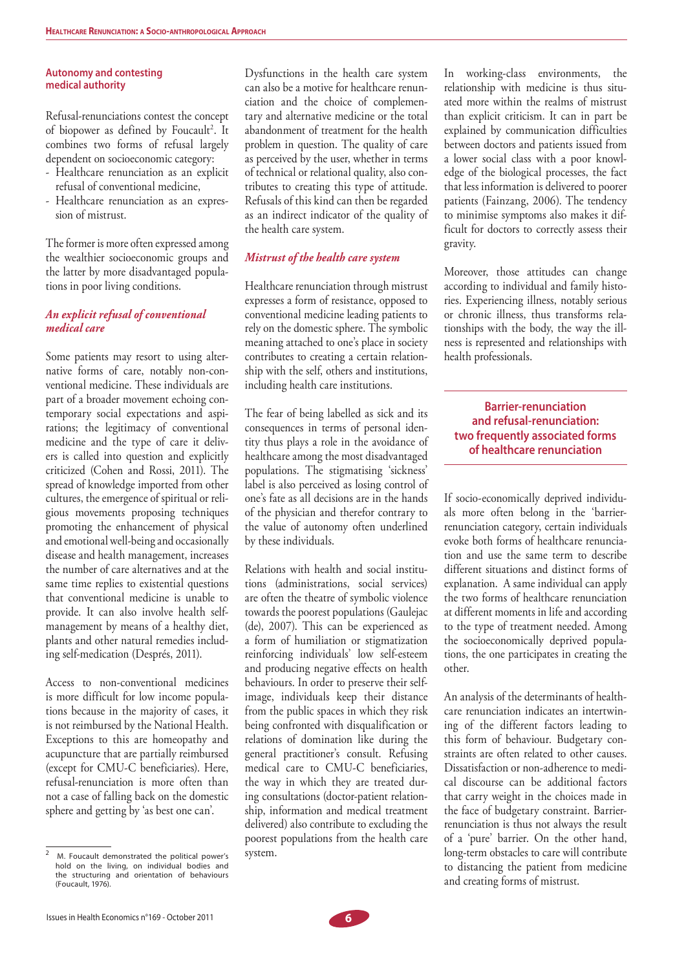# **Autonomy and contesting medical authority**

Refusal-renunciations contest the concept of biopower as defined by Foucault<sup>2</sup>. It combines two forms of refusal largely dependent on socioeconomic category:

- Healthcare renunciation as an explicit refusal of conventional medicine,
- Healthcare renunciation as an expression of mistrust.

The former is more often expressed among the wealthier socioeconomic groups and the latter by more disadvantaged populations in poor living conditions.

# *An explicit refusal of conventional medical care*

Some patients may resort to using alternative forms of care, notably non-conventional medicine. These individuals are part of a broader movement echoing contemporary social expectations and aspirations; the legitimacy of conventional medicine and the type of care it delivers is called into question and explicitly criticized (Cohen and Rossi, 2011). The spread of knowledge imported from other cultures, the emergence of spiritual or religious movements proposing techniques promoting the enhancement of physical and emotional well-being and occasionally disease and health management, increases the number of care alternatives and at the same time replies to existential questions that conventional medicine is unable to provide. It can also involve health selfmanagement by means of a healthy diet, plants and other natural remedies including self-medication (Després, 2011).

Access to non-conventional medicines is more difficult for low income populations because in the majority of cases, it is not reimbursed by the National Health. Exceptions to this are homeopathy and acupuncture that are partially reimbursed (except for CMU-C beneficiaries). Here, refusal-renunciation is more often than not a case of falling back on the domestic sphere and getting by 'as best one can'.

Dysfunctions in the health care system can also be a motive for healthcare renunciation and the choice of complementary and alternative medicine or the total abandonment of treatment for the health problem in question. The quality of care as perceived by the user, whether in terms of technical or relational quality, also contributes to creating this type of attitude. Refusals of this kind can then be regarded as an indirect indicator of the quality of the health care system.

# *Mistrust of the health care system*

Healthcare renunciation through mistrust expresses a form of resistance, opposed to conventional medicine leading patients to rely on the domestic sphere. The symbolic meaning attached to one's place in society contributes to creating a certain relationship with the self, others and institutions, including health care institutions.

The fear of being labelled as sick and its consequences in terms of personal identity thus plays a role in the avoidance of healthcare among the most disadvantaged populations. The stigmatising 'sickness' label is also perceived as losing control of one's fate as all decisions are in the hands of the physician and therefor contrary to the value of autonomy often underlined by these individuals.

Relations with health and social institutions (administrations, social services) are often the theatre of symbolic violence towards the poorest populations (Gaulejac (de), 2007). This can be experienced as a form of humiliation or stigmatization reinforcing individuals' low self-esteem and producing negative effects on health behaviours. In order to preserve their selfimage, individuals keep their distance from the public spaces in which they risk being confronted with disqualification or relations of domination like during the general practitioner's consult. Refusing medical care to CMU-C beneficiaries, the way in which they are treated during consultations (doctor-patient relationship, information and medical treatment delivered) also contribute to excluding the poorest populations from the health care system.

In working-class environments, the relationship with medicine is thus situated more within the realms of mistrust than explicit criticism. It can in part be explained by communication difficulties between doctors and patients issued from a lower social class with a poor knowledge of the biological processes, the fact that less information is delivered to poorer patients (Fainzang, 2006). The tendency to minimise symptoms also makes it difficult for doctors to correctly assess their gravity.

Moreover, those attitudes can change according to individual and family histories. Experiencing illness, notably serious or chronic illness, thus transforms relationships with the body, the way the illness is represented and relationships with health professionals.

# **Barrier-renunciation and refusal-renunciation: two frequently associated forms of healthcare renunciation**

If socio-economically deprived individuals more often belong in the 'barrierrenunciation category, certain individuals evoke both forms of healthcare renunciation and use the same term to describe different situations and distinct forms of explanation. A same individual can apply the two forms of healthcare renunciation at different moments in life and according to the type of treatment needed. Among the socioeconomically deprived populations, the one participates in creating the other.

An analysis of the determinants of healthcare renunciation indicates an intertwining of the different factors leading to this form of behaviour. Budgetary constraints are often related to other causes. Dissatisfaction or non-adherence to medical discourse can be additional factors that carry weight in the choices made in the face of budgetary constraint. Barrierrenunciation is thus not always the result of a 'pure' barrier. On the other hand, long-term obstacles to care will contribute to distancing the patient from medicine and creating forms of mistrust.



<sup>2</sup> M. Foucault demonstrated the political power's hold on the living, on individual bodies and the structuring and orientation of behaviours (Foucault, 1976).